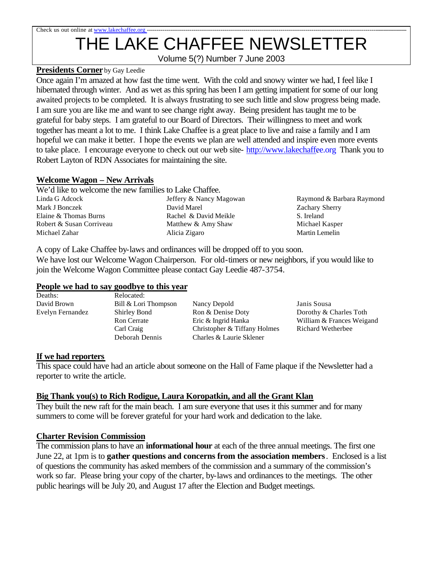# Check us out online at www.lakechaffee.org THE LAKE CHAFFEE NEWSLETTER

Volume 5(?) Number 7 June 2003

### **Presidents Corner** by Gay Leedie

Once again I'm amazed at how fast the time went. With the cold and snowy winter we had, I feel like I hibernated through winter. And as wet as this spring has been I am getting impatient for some of our long awaited projects to be completed. It is always frustrating to see such little and slow progress being made. I am sure you are like me and want to see change right away. Being president has taught me to be grateful for baby steps. I am grateful to our Board of Directors. Their willingness to meet and work together has meant a lot to me. I think Lake Chaffee is a great place to live and raise a family and I am hopeful we can make it better. I hope the events we plan are well attended and inspire even more events to take place. I encourage everyone to check out our web site- <http://www.lakechaffee.org> Thank you to Robert Layton of RDN Associates for maintaining the site.

### **Welcome Wagon – New Arrivals**

| We'd like to welcome the new families to Lake Chaffee. |                         |                  |
|--------------------------------------------------------|-------------------------|------------------|
| Linda G Adcock                                         | Jeffery & Nancy Magowan | Raymond          |
| Mark J Bonczek                                         | David Marel             | Zachary S        |
| Elaine & Thomas Burns                                  | Rachel & David Meikle   | S. Ireland       |
| Robert & Susan Corriveau                               | Matthew & Amy Shaw      | Michael l        |
| Michael Zahar                                          | Alicia Zigaro           | <b>Martin</b> Le |

Raymond & Barbara Raymond Zachary Sherry Michael Kasper Martin Lemelin

A copy of Lake Chaffee by-laws and ordinances will be dropped off to you soon. We have lost our Welcome Wagon Chairperson. For old-timers or new neighbors, if you would like to join the Welcome Wagon Committee please contact Gay Leedie 487-3754.

#### **People we had to say goodbye to this year**

| Deaths:          | Relocated:           |                              |                           |
|------------------|----------------------|------------------------------|---------------------------|
| David Brown      | Bill & Lori Thompson | Nancy Depold                 | Janis Sousa               |
| Evelyn Fernandez | Shirley Bond         | Ron & Denise Doty            | Dorothy & Charles Toth    |
|                  | <b>Ron</b> Cerrate   | Eric & Ingrid Hanka          | William & Frances Weigand |
|                  | Carl Craig           | Christopher & Tiffany Holmes | Richard Wetherbee         |
|                  | Deborah Dennis       | Charles & Laurie Sklener     |                           |
|                  |                      |                              |                           |

#### **If we had reporters**

This space could have had an article about someone on the Hall of Fame plaque if the Newsletter had a reporter to write the article.

## **Big Thank you(s) to Rich Rodigue, Laura Koropatkin, and all the Grant Klan**

They built the new raft for the main beach. I am sure everyone that uses it this summer and for many summers to come will be forever grateful for your hard work and dedication to the lake.

## **Charter Revision Commission**

The commission plans to have an **informational hour** at each of the three annual meetings. The first one June 22, at 1pm is to **gather questions and concerns from the association members**. Enclosed is a list of questions the community has asked members of the commission and a summary of the commission's work so far. Please bring your copy of the charter, by-laws and ordinances to the meetings. The other public hearings will be July 20, and August 17 after the Election and Budget meetings.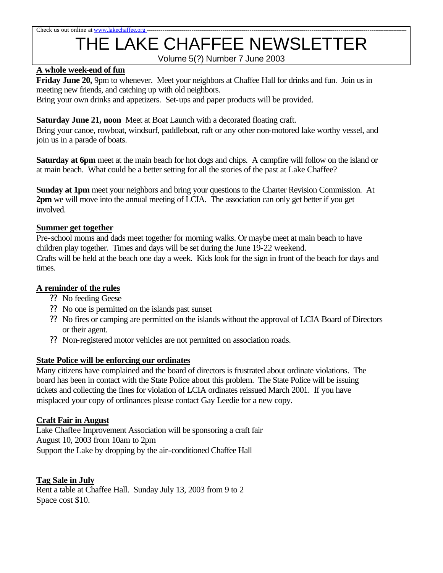### Check us out online at www.lakechaffee.org

# THE LAKE CHAFFEE NEWSLETTER

Volume 5(?) Number 7 June 2003

### **A whole week-end of fun**

**Friday June 20,** 9pm to whenever. Meet your neighbors at Chaffee Hall for drinks and fun. Join us in meeting new friends, and catching up with old neighbors.

Bring your own drinks and appetizers. Set-ups and paper products will be provided.

## **Saturday June 21, noon** Meet at Boat Launch with a decorated floating craft.

Bring your canoe, rowboat, windsurf, paddleboat, raft or any other non-motored lake worthy vessel, and join us in a parade of boats.

**Saturday at 6pm** meet at the main beach for hot dogs and chips. A campfire will follow on the island or at main beach. What could be a better setting for all the stories of the past at Lake Chaffee?

**Sunday at 1pm** meet your neighbors and bring your questions to the Charter Revision Commission. At **2pm** we will move into the annual meeting of LCIA. The association can only get better if you get involved.

#### **Summer get together**

Pre-school moms and dads meet together for morning walks. Or maybe meet at main beach to have children play together. Times and days will be set during the June 19-22 weekend. Crafts will be held at the beach one day a week. Kids look for the sign in front of the beach for days and times.

#### **A reminder of the rules**

- ?? No feeding Geese
- ?? No one is permitted on the islands past sunset
- ?? No fires or camping are permitted on the islands without the approval of LCIA Board of Directors or their agent.
- ?? Non-registered motor vehicles are not permitted on association roads.

#### **State Police will be enforcing our ordinates**

Many citizens have complained and the board of directors is frustrated about ordinate violations. The board has been in contact with the State Police about this problem. The State Police will be issuing tickets and collecting the fines for violation of LCIA ordinates reissued March 2001. If you have misplaced your copy of ordinances please contact Gay Leedie for a new copy.

#### **Craft Fair in August**

Lake Chaffee Improvement Association will be sponsoring a craft fair August 10, 2003 from 10am to 2pm Support the Lake by dropping by the air-conditioned Chaffee Hall

#### **Tag Sale in July**

Rent a table at Chaffee Hall. Sunday July 13, 2003 from 9 to 2 Space cost \$10.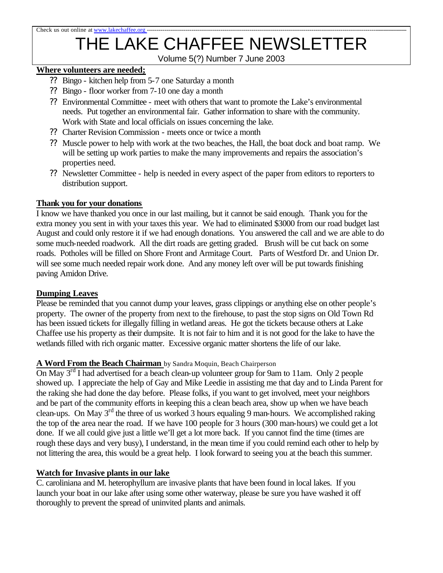# THE LAKE CHAFFEE NEWSLETTER

Volume 5(?) Number 7 June 2003

### **Where volunteers are needed;**

- ?? Bingo kitchen help from 5-7 one Saturday a month
- ?? Bingo floor worker from 7-10 one day a month
- ?? Environmental Committee meet with others that want to promote the Lake's environmental needs. Put together an environmental fair. Gather information to share with the community. Work with State and local officials on issues concerning the lake.
- ?? Charter Revision Commission meets once or twice a month
- ?? Muscle power to help with work at the two beaches, the Hall, the boat dock and boat ramp. We will be setting up work parties to make the many improvements and repairs the association's properties need.
- ?? Newsletter Committee help is needed in every aspect of the paper from editors to reporters to distribution support.

#### **Thank you for your donations**

I know we have thanked you once in our last mailing, but it cannot be said enough. Thank you for the extra money you sent in with your taxes this year. We had to eliminated \$3000 from our road budget last August and could only restore it if we had enough donations. You answered the call and we are able to do some much-needed roadwork. All the dirt roads are getting graded. Brush will be cut back on some roads. Potholes will be filled on Shore Front and Armitage Court. Parts of Westford Dr. and Union Dr. will see some much needed repair work done. And any money left over will be put towards finishing paving Amidon Drive.

#### **Dumping Leaves**

Please be reminded that you cannot dump your leaves, grass clippings or anything else on other people's property. The owner of the property from next to the firehouse, to past the stop signs on Old Town Rd has been issued tickets for illegally filling in wetland areas. He got the tickets because others at Lake Chaffee use his property as their dumpsite. It is not fair to him and it is not good for the lake to have the wetlands filled with rich organic matter. Excessive organic matter shortens the life of our lake.

#### **A Word From the Beach Chairman** by Sandra Moquin, Beach Chairperson

On May  $3<sup>rd</sup>$  I had advertised for a beach clean-up volunteer group for 9am to 11am. Only 2 people showed up. I appreciate the help of Gay and Mike Leedie in assisting me that day and to Linda Parent for the raking she had done the day before. Please folks, if you want to get involved, meet your neighbors and be part of the community efforts in keeping this a clean beach area, show up when we have beach clean-ups. On May 3rd the three of us worked 3 hours equaling 9 man-hours. We accomplished raking the top of the area near the road. If we have 100 people for 3 hours (300 man-hours) we could get a lot done. If we all could give just a little we'll get a lot more back. If you cannot find the time (times are rough these days and very busy), I understand, in the mean time if you could remind each other to help by not littering the area, this would be a great help. I look forward to seeing you at the beach this summer.

#### **Watch for Invasive plants in our lake**

C. caroliniana and M. heterophyllum are invasive plants that have been found in local lakes. If you launch your boat in our lake after using some other waterway, please be sure you have washed it off thoroughly to prevent the spread of uninvited plants and animals.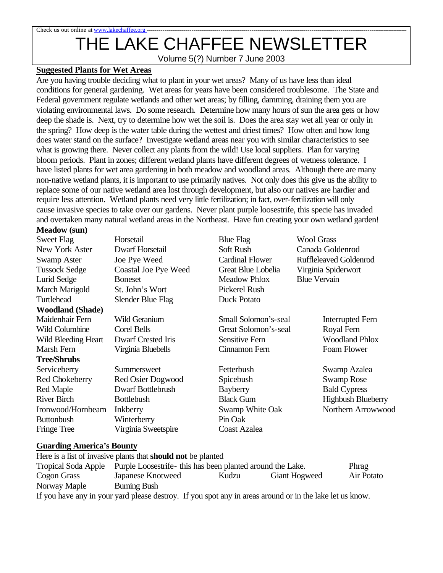# Check us out online at www.lakechaffee.org THE LAKE CHAFFEE NEWSLETTER

Volume 5(?) Number 7 June 2003

#### **Suggested Plants for Wet Areas**

Are you having trouble deciding what to plant in your wet areas? Many of us have less than ideal conditions for general gardening. Wet areas for years have been considered troublesome. The State and Federal government regulate wetlands and other wet areas; by filling, damming, draining them you are violating environmental laws. Do some research. Determine how many hours of sun the area gets or how deep the shade is. Next, try to determine how wet the soil is. Does the area stay wet all year or only in the spring? How deep is the water table during the wettest and driest times? How often and how long does water stand on the surface? Investigate wetland areas near you with similar characteristics to see what is growing there. Never collect any plants from the wild! Use local suppliers. Plan for varying bloom periods. Plant in zones; different wetland plants have different degrees of wetness tolerance. I have listed plants for wet area gardening in both meadow and woodland areas. Although there are many non-native wetland plants, it is important to use primarily natives. Not only does this give us the ability to replace some of our native wetland area lost through development, but also our natives are hardier and require less attention. Wetland plants need very little fertilization; in fact, over-fertilization will only cause invasive species to take over our gardens. Never plant purple loosestrife, this specie has invaded and overtaken many natural wetland areas in the Northeast. Have fun creating your own wetland garden!

#### **Meadow (sun)**

| <b>Sweet Flag</b>       | Horsetail                 | <b>Blue Flag</b>       | <b>Wool Grass</b>             |
|-------------------------|---------------------------|------------------------|-------------------------------|
| New York Aster          | <b>Dwarf Horsetail</b>    | Soft Rush              | Canada Goldenrod              |
| <b>Swamp Aster</b>      | Joe Pye Weed              | <b>Cardinal Flower</b> | <b>Ruffleleaved Goldenrod</b> |
| <b>Tussock Sedge</b>    | Coastal Joe Pye Weed      | Great Blue Lobelia     | Virginia Spiderwort           |
| Lurid Sedge             | <b>Boneset</b>            | <b>Meadow Phlox</b>    | <b>Blue Vervain</b>           |
| March Marigold          | St. John's Wort           | Pickerel Rush          |                               |
| Turtlehead              | Slender Blue Flag         | <b>Duck Potato</b>     |                               |
| <b>Woodland (Shade)</b> |                           |                        |                               |
| Maidenhair Fern         | Wild Geranium             | Small Solomon's-seal   | <b>Interrupted Fern</b>       |
| <b>Wild Columbine</b>   | Corel Bells               | Great Solomon's-seal   | Royal Fern                    |
| Wild Bleeding Heart     | <b>Dwarf Crested Iris</b> | Sensitive Fern         | <b>Woodland Phlox</b>         |
| Marsh Fern              | Virginia Bluebells        | Cinnamon Fern          | Foam Flower                   |
| <b>Tree/Shrubs</b>      |                           |                        |                               |
| Serviceberry            | Summersweet               | Fetterbush             | Swamp Azalea                  |
| Red Chokeberry          | Red Osier Dogwood         | Spicebush              | <b>Swamp Rose</b>             |
| <b>Red Maple</b>        | Dwarf Bottlebrush         | Bayberry               | <b>Bald Cypress</b>           |
| <b>River Birch</b>      | <b>Bottlebush</b>         | <b>Black Gum</b>       | <b>Highbush Blueberry</b>     |
| Ironwood/Hornbeam       | <b>Inkberry</b>           | Swamp White Oak        | Northern Arrowwood            |
| <b>Buttonbush</b>       | Winterberry               | Pin Oak                |                               |
| Fringe Tree             | Virginia Sweetspire       | <b>Coast Azalea</b>    |                               |

#### **Guarding America's Bounty**

Here is a list of invasive plants that **should not** be planted Tropical Soda Apple Purple Loosestrife- this has been planted around the Lake. Phrag Cogon Grass Japanese Knotweed Kudzu Giant Hogweed Air Potato Norway Maple Burning Bush If you have any in your yard please destroy. If you spot any in areas around or in the lake let us know.